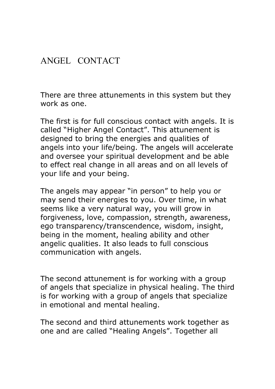### ANGEL CONTACT

There are three attunements in this system but they work as one.

The first is for full conscious contact with angels. It is called "Higher Angel Contact". This attunement is designed to bring the energies and qualities of angels into your life/being. The angels will accelerate and oversee your spiritual development and be able to effect real change in all areas and on all levels of your life and your being.

The angels may appear "in person" to help you or may send their energies to you. Over time, in what seems like a very natural way, you will grow in forgiveness, love, compassion, strength, awareness, ego transparency/transcendence, wisdom, insight, being in the moment, healing ability and other angelic qualities. It also leads to full conscious communication with angels.

The second attunement is for working with a group of angels that specialize in physical healing. The third is for working with a group of angels that specialize in emotional and mental healing.

The second and third attunements work together as one and are called "Healing Angels". Together all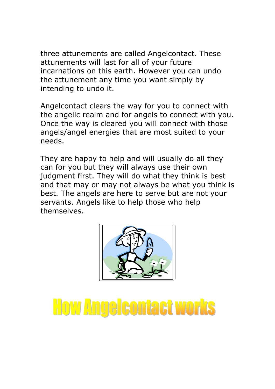three attunements are called Angelcontact. These attunements will last for all of your future incarnations on this earth. However you can undo the attunement any time you want simply by intending to undo it.

Angelcontact clears the way for you to connect with the angelic realm and for angels to connect with you. Once the way is cleared you will connect with those angels/angel energies that are most suited to your needs.

They are happy to help and will usually do all they can for you but they will always use their own judgment first. They will do what they think is best and that may or may not always be what you think is best. The angels are here to serve but are not your servants. Angels like to help those who help themselves.



# **How Angelcontact works**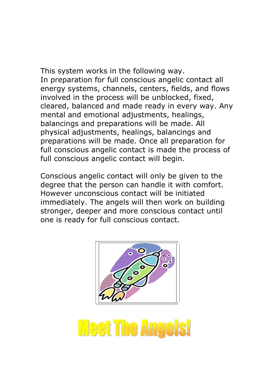This system works in the following way. In preparation for full conscious angelic contact all energy systems, channels, centers, fields, and flows involved in the process will be unblocked, fixed, cleared, balanced and made ready in every way. Any mental and emotional adjustments, healings, balancings and preparations will be made. All physical adjustments, healings, balancings and preparations will be made. Once all preparation for full conscious angelic contact is made the process of full conscious angelic contact will begin.

Conscious angelic contact will only be given to the degree that the person can handle it with comfort. However unconscious contact will be initiated immediately. The angels will then work on building stronger, deeper and more conscious contact until one is ready for full conscious contact.



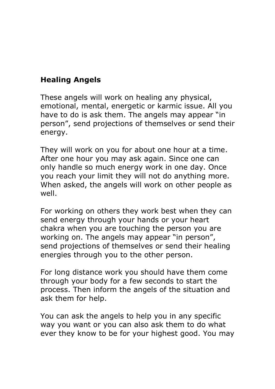#### Healing Angels

These angels will work on healing any physical, emotional, mental, energetic or karmic issue. All you have to do is ask them. The angels may appear "in person", send projections of themselves or send their energy.

They will work on you for about one hour at a time. After one hour you may ask again. Since one can only handle so much energy work in one day. Once you reach your limit they will not do anything more. When asked, the angels will work on other people as well.

For working on others they work best when they can send energy through your hands or your heart chakra when you are touching the person you are working on. The angels may appear "in person", send projections of themselves or send their healing energies through you to the other person.

For long distance work you should have them come through your body for a few seconds to start the process. Then inform the angels of the situation and ask them for help.

You can ask the angels to help you in any specific way you want or you can also ask them to do what ever they know to be for your highest good. You may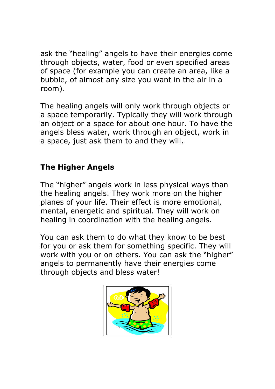ask the "healing" angels to have their energies come through objects, water, food or even specified areas of space (for example you can create an area, like a bubble, of almost any size you want in the air in a room).

The healing angels will only work through objects or a space temporarily. Typically they will work through an object or a space for about one hour. To have the angels bless water, work through an object, work in a space, just ask them to and they will.

#### The Higher Angels

The "higher" angels work in less physical ways than the healing angels. They work more on the higher planes of your life. Their effect is more emotional, mental, energetic and spiritual. They will work on healing in coordination with the healing angels.

You can ask them to do what they know to be best for you or ask them for something specific. They will work with you or on others. You can ask the "higher" angels to permanently have their energies come through objects and bless water!

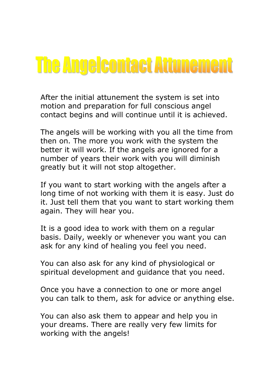### **The Angelcontact Attunement**

After the initial attunement the system is set into motion and preparation for full conscious angel contact begins and will continue until it is achieved.

The angels will be working with you all the time from then on. The more you work with the system the better it will work. If the angels are ignored for a number of years their work with you will diminish greatly but it will not stop altogether.

If you want to start working with the angels after a long time of not working with them it is easy. Just do it. Just tell them that you want to start working them again. They will hear you.

It is a good idea to work with them on a regular basis. Daily, weekly or whenever you want you can ask for any kind of healing you feel you need.

You can also ask for any kind of physiological or spiritual development and guidance that you need.

Once you have a connection to one or more angel you can talk to them, ask for advice or anything else.

You can also ask them to appear and help you in your dreams. There are really very few limits for working with the angels!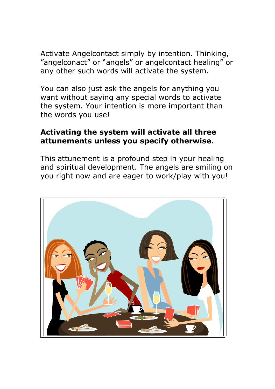Activate Angelcontact simply by intention. Thinking, "angelconact" or "angels" or angelcontact healing" or any other such words will activate the system.

You can also just ask the angels for anything you want without saying any special words to activate the system. Your intention is more important than the words you use!

#### Activating the system will activate all three attunements unless you specify otherwise.

This attunement is a profound step in your healing and spiritual development. The angels are smiling on you right now and are eager to work/play with you!

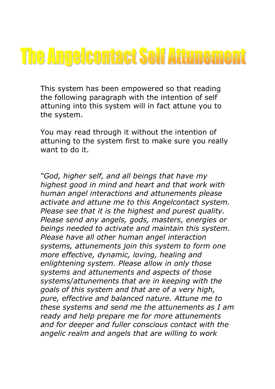# **The Angelcontact Self Attunement**

This system has been empowered so that reading the following paragraph with the intention of self attuning into this system will in fact attune you to the system.

You may read through it without the intention of attuning to the system first to make sure you really want to do it.

"God, higher self, and all beings that have my highest good in mind and heart and that work with human angel interactions and attunements please activate and attune me to this Angelcontact system. Please see that it is the highest and purest quality. Please send any angels, gods, masters, energies or beings needed to activate and maintain this system. Please have all other human angel interaction systems, attunements join this system to form one more effective, dynamic, loving, healing and enlightening system. Please allow in only those systems and attunements and aspects of those systems/attunements that are in keeping with the goals of this system and that are of a very high, pure, effective and balanced nature. Attune me to these systems and send me the attunements as I am ready and help prepare me for more attunements and for deeper and fuller conscious contact with the angelic realm and angels that are willing to work